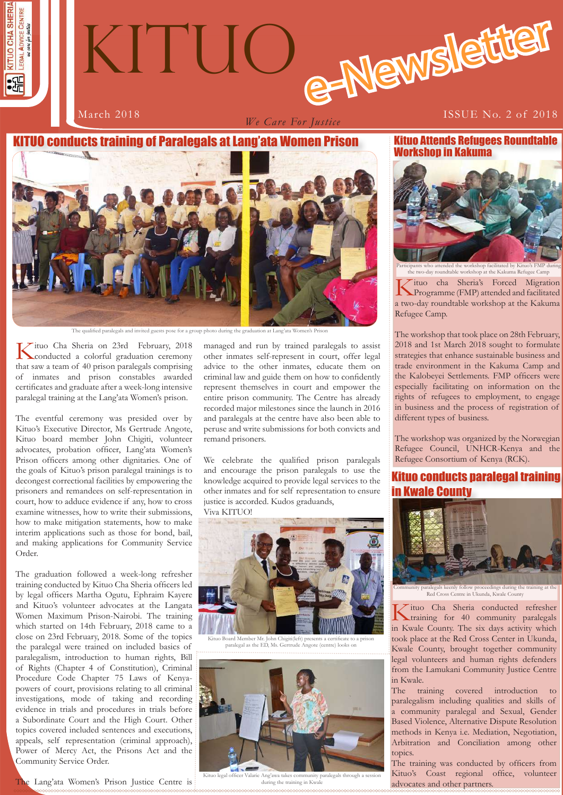

*We Care For Justice*

#### March 2018 **ISSUE No. 2 of 2018**

### **10 conducts training of Paralegals at Lang'ata Women Prison**



The qualified paralegals and invited guests pose for a group photo during the graduation at Lang

Kituo Cha Sheria on 23rd February, 2018 conducted a colorful graduation ceremony that saw a team of 40 prison paralegals comprising of inmates and prison constables awarded certificates and graduate after a week-long intensive paralegal training at the Lang'ata Women's prison.

The eventful ceremony was presided over by Kituo's Executive Director, Ms Gertrude Angote, Kituo board member John Chigiti, volunteer advocates, probation officer, Lang'ata Women's Prison officers among other dignitaries. One of the goals of Kituo's prison paralegal trainings is to decongest correctional facilities by empowering the prisoners and remandees on self-representation in court, how to adduce evidence if any, how to cross examine witnesses, how to write their submissions, how to make mitigation statements, how to make interim applications such as those for bond, bail, and making applications for Community Service Order.

The graduation followed a week-long refresher training conducted by Kituo Cha Sheria officers led by legal officers Martha Ogutu, Ephraim Kayere and Kituo's volunteer advocates at the Langata Women Maximum Prison-Nairobi. The training which started on 14th February, 2018 came to a close on 23rd February, 2018. Some of the topics the paralegal were trained on included basics of paralegalism, introduction to human rights, Bill of Rights (Chapter 4 of Constitution), Criminal Procedure Code Chapter 75 Laws of Kenyapowers of court, provisions relating to all criminal investigations, mode of taking and recording evidence in trials and procedures in trials before a Subordinate Court and the High Court. Other topics covered included sentences and executions, appeals, self representation (criminal approach), Power of Mercy Act, the Prisons Act and the Community Service Order.

The Lang'ata Women's Prison Justice Centre is

managed and run by trained paralegals to assist other inmates self-represent in court, offer legal advice to the other inmates, educate them on criminal law and guide them on how to confidently represent themselves in court and empower the entire prison community. The Centre has already recorded major milestones since the launch in 2016 and paralegals at the centre have also been able to peruse and write submissions for both convicts and remand prisoners.

We celebrate the qualified prison paralegals and encourage the prison paralegals to use the knowledge acquired to provide legal services to the other inmates and for self representation to ensure justice is accorded. Kudos graduands,





Board Member Mr. John Chigiti(left) presents a certi paralegal as the ED, Ms. Gertrude Angote (centre) looks on



o legal officer Valarie Ang'awa takes comi during the training in Kwale

Kituo Attends Refugees Roundtable Workshop in Kakuma



Participants who attended the workshop facilitated by Kituo's FMP during the two-day roundtable workshop at the Kakuma Refugee Camp

Kituo cha Sheria's Forced Migration Programme (FMP) attended and facilitated a two-day roundtable workshop at the Kakuma Refugee Camp.

The workshop that took place on 28th February, 2018 and 1st March 2018 sought to formulate strategies that enhance sustainable business and trade environment in the Kakuma Camp and the Kalobeyei Settlements. FMP officers were especially facilitating on information on the rights of refugees to employment, to engage in business and the process of registration of different types of business.

The workshop was organized by the Norwegian Refugee Council, UNHCR-Kenya and the Refugee Consortium of Kenya (RCK).

## Kituo conducts paralegal training in Kwale County



Community paralegals keenly follow proceedings during the training at the Red Cross Centre in Ukunda, Kwale County

Kituo Cha Sheria conducted refresher training for 40 community paralegals in Kwale County. The six days activity which took place at the Red Cross Center in Ukunda, Kwale County, brought together community legal volunteers and human rights defenders from the Lamukani Community Justice Centre in Kwale.

The training covered introduction to paralegalism including qualities and skills of a community paralegal and Sexual, Gender Based Violence, Alternative Dispute Resolution methods in Kenya i.e. Mediation, Negotiation, Arbitration and Conciliation among other topics.

Kituo's Coast regional office, volunteer The training was conducted by officers from advocates and other partners.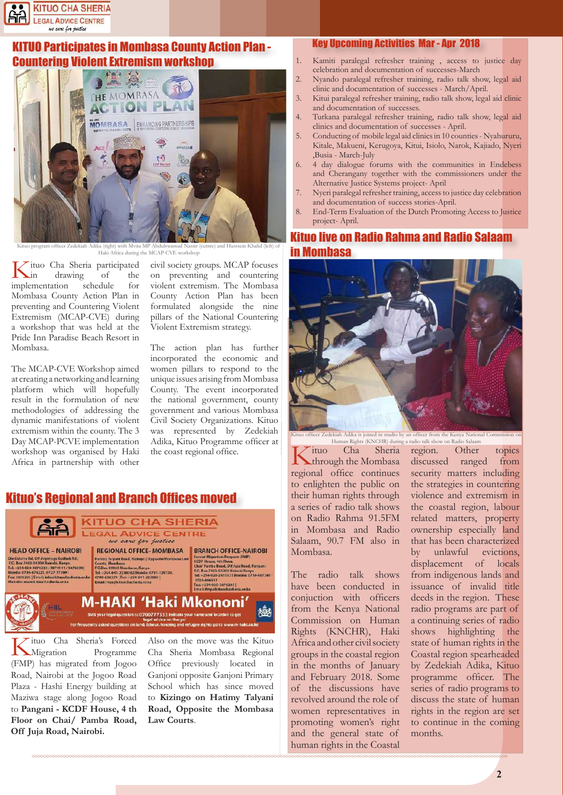

# **UO Participates in Mombasa County Action Plan -**Countering Violent Extremism workshop



officer Zedekiah Adika (right) with Mvita MP Haki Africa during the MCAP-CVE workshop

**K**ituo Cha Sheria participated<br>in drawing of the<br>implementation schedule for drawing implementation Mombasa County Action Plan in preventing and Countering Violent Extremism (MCAP-CVE) during a workshop that was held at the Pride Inn Paradise Beach Resort in Mombasa.

The MCAP-CVE Workshop aimed at creating a networking and learning platform which will hopefully result in the formulation of new methodologies of addressing the dynamic manifestations of violent extremism within the county. The 3 Day MCAP-PCVE implementation workshop was organised by Haki Africa in partnership with other

civil society groups. MCAP focuses on preventing and countering violent extremism. The Mombasa County Action Plan has been formulated alongside the nine pillars of the National Countering Violent Extremism strategy.

The action plan has further incorporated the economic and women pillars to respond to the unique issues arising from Mombasa County. The event incorporated the national government, county government and various Mombasa Civil Society Organizations. Kituo was represented by Zedekiah Adika, Kituo Programme officer at the coast regional office.

## Kituo's Regional and Branch Offices moved



Road, Nairobi at the Jogoo Road Plaza - Hashi Energy building at Maziwa stage along Jogoo Road to **Pangani - KCDF House, 4 th Floor on Chai/ Pamba Road, Off Juja Road, Nairobi.**

Cha Sheria Mombasa Regional Office previously located in Ganjoni opposite Ganjoni Primary School which has since moved to **Kizingo on Hatimy Talyani Road, Opposite the Mombasa Law Courts**.

#### Key Upcoming Activities Mar - Apr 2018

- 1. Kamiti paralegal refresher training , access to justice day celebration and documentation of successes-March
- 2. Nyando paralegal refresher training, radio talk show, legal aid clinic and documentation of successes - March/April.
- 3. Kitui paralegal refresher training, radio talk show, legal aid clinic and documentation of successes.
- 4. Turkana paralegal refresher training, radio talk show, legal aid clinics and documentation of successes - April.
- 5. Conducting of mobile legal aid clinics in 10 counties Nyahururu, Kitale, Makueni, Kerugoya, Kitui, Isiolo, Narok, Kajiado, Nyeri ,Busia - March-July
- 6. 4 day dialogue forums with the communities in Endebess and Cherangany together with the commissioners under the Alternative Justice Systems project- April
- Nyeri paralegal refresher training, access to justice day celebration and documentation of success stories-April.
- End-Term Evaluation of the Dutch Promoting Access to Justice project- April.

## Kituo live on Radio Rahma and Radio Salaam in Mombasa



Kituo officer Zedekiah Adika is joined in studio by an officer from the Kenya National Commission on Rughts (KNCHR) during a radio talk show on Radio Salaam

Kituo Cha Sheria through the Mombasa regional office continues to enlighten the public on their human rights through a series of radio talk shows on Radio Rahma 91.5FM in Mombasa and Radio Salaam, 90.7 FM also in Mombasa.

The radio talk shows have been conducted in conjuction with officers from the Kenya National Commission on Human Rights (KNCHR), Haki Africa and other civil society groups in the coastal region in the months of January and February 2018. Some of the discussions have revolved around the role of women representatives in promoting women's right and the general state of human rights in the Coastal

region. Other topics discussed ranged from security matters including the strategies in countering violence and extremism in the coastal region, labour related matters, property ownership especially land that has been characterized by unlawful evictions, displacement of locals from indigenous lands and issuance of invalid title deeds in the region. These radio programs are part of a continuing series of radio shows highlighting the state of human rights in the Coastal region spearheaded by Zedekiah Adika, Kituo programme officer. The series of radio programs to discuss the state of human rights in the region are set to continue in the coming months. han Rights (KNCHR) during a radio talk show on Radio Salaam<br>Cha Sheria region. Other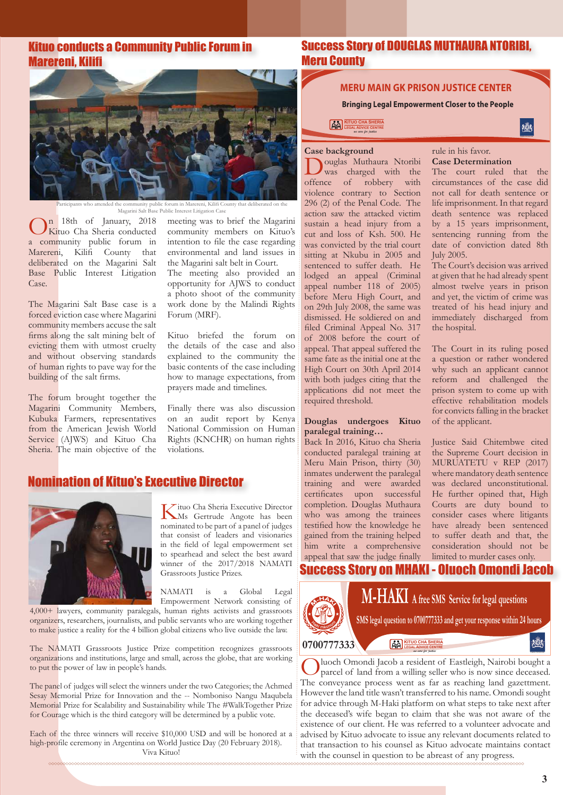## Kituo conducts a Community Public Forum in Marereni, Kilifi



ty public forum in Marereni, Kilifi Co Magarini Salt Base Public Interest Litigation Case

On 18th of January, 2018 Kituo Cha Sheria conducted a community public forum in Marereni, Kilifi County that deliberated on the Magarini Salt Base Public Interest Litigation Case.

The Magarini Salt Base case is a forced eviction case where Magarini community members accuse the salt firms along the salt mining belt of evicting them with utmost cruelty and without observing standards of human rights to pave way for the building of the salt firms.

The forum brought together the Magarini Community Members, Kubuka Farmers, representatives from the American Jewish World Service (AJWS) and Kituo Cha Sheria. The main objective of the meeting was to brief the Magarini community members on Kituo's intention to file the case regarding environmental and land issues in the Magarini salt belt in Court.

The meeting also provided an opportunity for AJWS to conduct a photo shoot of the community work done by the Malindi Rights Forum (MRF).

Kituo briefed the forum on the details of the case and also explained to the community the basic contents of the case including how to manage expectations, from prayers made and timelines.

Finally there was also discussion on an audit report by Kenya National Commission on Human Rights (KNCHR) on human rights violations.

## Nomination of Kituo's Executive Director



Kituo Cha Sheria Executive Director Ms Gertrude Angote has been nominated to be part of a panel of judges that consist of leaders and visionaries in the field of legal empowerment set to spearhead and select the best award winner of the 2017/2018 NAMATI Grassroots Justice Prizes.

NAMATI is a Global Legal Empowerment Network consisting of

4,000+ lawyers, community paralegals, human rights activists and grassroots organizers, researchers, journalists, and public servants who are working together to make justice a reality for the 4 billion global citizens who live outside the law.

The NAMATI Grassroots Justice Prize competition recognizes grassroots organizations and institutions, large and small, across the globe, that are working to put the power of law in people's hands.

The panel of judges will select the winners under the two Categories; the Achmed Sesay Memorial Prize for Innovation and the -- Nomboniso Nangu Maqubela Memorial Prize for Scalability and Sustainability while The #WalkTogether Prize for Courage which is the third category will be determined by a public vote.

Each of the three winners will receive \$10,000 USD and will be honored at a high-profile ceremony in Argentina on World Justice Day (20 February 2018). Viva Kituo!

### Success Story of DOUGLAS MUTHAURA NTORIBI, Meru County

#### **MERU MAIN GK PRISON JUSTICE CENTER**

 **Bringing Legal Empowerment Closer to the People**

**KITUO CHA SHERIA LEGAL ADVICE CENTRE** *we care for justice*

Case background<br> **Nouvelas** Muthaura Ntoribi Douglas Muthaura Ntoribi offence of robbery with violence contrary to Section 296 (2) of the Penal Code. The action saw the attacked victim sustain a head injury from a cut and loss of Ksh. 500. He was convicted by the trial court sitting at Nkubu in 2005 and sentenced to suffer death. He lodged an appeal (Criminal appeal number 118 of 2005) before Meru High Court, and on 29th July 2008, the same was dismissed. He soldiered on and filed Criminal Appeal No. 317 of 2008 before the court of appeal. That appeal suffered the same fate as the initial one at the High Court on 30th April 2014 with both judges citing that the applications did not meet the required threshold.

#### **Douglas undergoes Kituo paralegal training…**

Back In 2016, Kituo cha Sheria conducted paralegal training at Meru Main Prison, thirty (30) inmates underwent the paralegal training and were awarded certificates upon successful completion. Douglas Muthaura who was among the trainees testified how the knowledge he gained from the training helped him write a comprehensive appeal that saw the judge finally

rule in his favor. **Case Determination** 

The court ruled that the circumstances of the case did not call for death sentence or life imprisonment. In that regard death sentence was replaced by a 15 years imprisonment, sentencing running from the date of conviction dated 8th July 2005.

撼

The Court's decision was arrived at given that he had already spent almost twelve years in prison and yet, the victim of crime was treated of his head injury and immediately discharged from the hospital.

The Court in its ruling posed a question or rather wondered why such an applicant cannot reform and challenged the prison system to come up with effective rehabilitation models for convicts falling in the bracket of the applicant.

Justice Said Chitembwe cited the Supreme Court decision in MURUATETU v REP (2017) where mandatory death sentence was declared unconstitutional. He further opined that, High Courts are duty bound to consider cases where litigants have already been sentenced to suffer death and that, the consideration should not be limited to murder cases only.

# Success Story on MHAKI - Oluoch Omondi Jacob



**SMS legal question to 0700777333 and get your response within 24 hours M-HAKI A free SMS Service for legal questions**

**0700777333**

Oluoch Omondi Jacob a resident of Eastleigh, Nairobi bought a parcel of land from a willing seller who is now since deceased. The conveyance process went as far as reaching land gazettment. However the land title wasn't transferred to his name. Omondi sought for advice through M-Haki platform on what steps to take next after the deceased's wife began to claim that she was not aware of the existence of our client. He was referred to a volunteer advocate and advised by Kituo advocate to issue any relevant documents related to that transaction to his counsel as Kituo advocate maintains contact with the counsel in question to be abreast of any progress.

**KITUO CHA SHERIA LEGAL ADVICE CENTRE** *we care for justice*